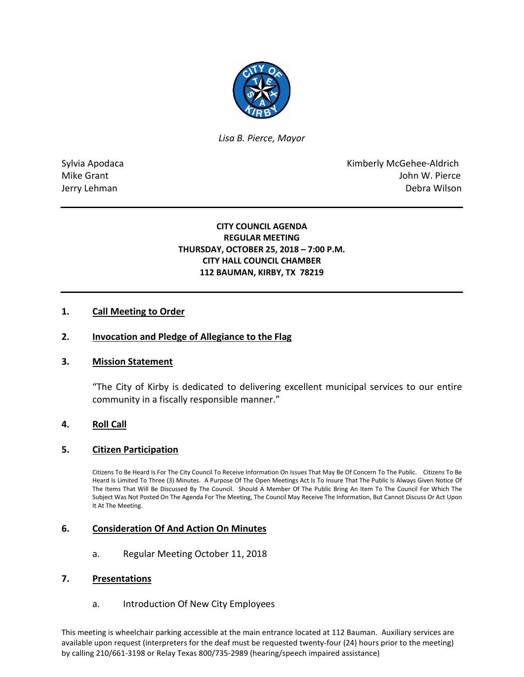

*Lisa B. Pierce, Mayor* 

Sylvia Apodaca National According Control of American Control of Kimberly McGehee-Aldrich Mike Grant **John W. Pierce** Jerry Lehman Debra Wilson

# **CITY COUNCIL AGENDA REGULAR MEETING THURSDAY, OCTOBER 25, 2018 – 7:00 P.M. CITY HALL COUNCIL CHAMBER 112 BAUMAN, KIRBY, TX 78219**

## **1. Call Meeting to Order**

### **2. Invocation and Pledge of Allegiance to the Flag**

#### **3. Mission Statement**

"The City of Kirby is dedicated to delivering excellent municipal services to our entire community in a fiscally responsible manner."

#### **4. Roll Call**

#### **5. Citizen Participation**

Citizens To Be Heard Is For The City Council To Receive Information On Issues That May Be Of Concern To The Public. Citizens To Be Heard Is Limited To Three (3) Minutes. A Purpose Of The Open Meetings Act Is To Insure That The Public Is Always Given Notice Of The Items That Will Be Discussed By The Council. Should A Member Of The Public Bring An Item To The Council For Which The Subject Was Not Posted On The Agenda For The Meeting, The Council May Receive The Information, But Cannot Discuss Or Act Upon It At The Meeting.

#### **6. Consideration Of And Action On Minutes**

a. Regular Meeting October 11, 2018

#### **7. Presentations**

a. Introduction Of New City Employees

This meeting is wheelchair parking accessible at the main entrance located at 112 Bauman. Auxiliary services are available upon request (interpreters for the deaf must be requested twenty-four (24) hours prior to the meeting) by calling 210/661-3198 or Relay Texas 800/735-2989 (hearing/speech impaired assistance)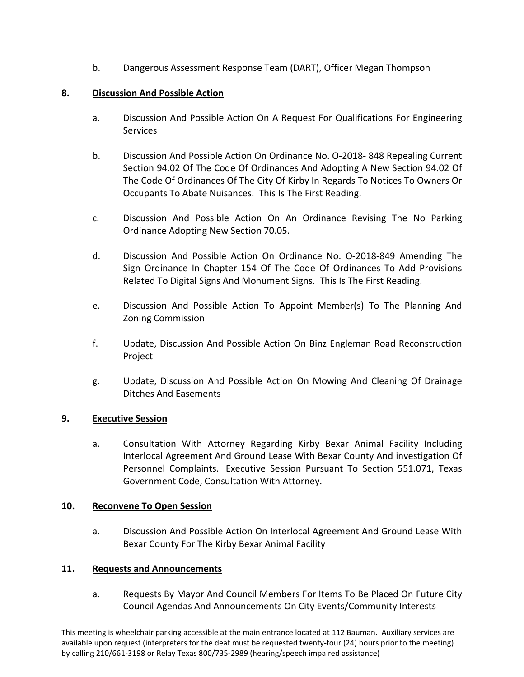b. Dangerous Assessment Response Team (DART), Officer Megan Thompson

## **8. Discussion And Possible Action**

- a. Discussion And Possible Action On A Request For Qualifications For Engineering Services
- b. Discussion And Possible Action On Ordinance No. O-2018- 848 Repealing Current Section 94.02 Of The Code Of Ordinances And Adopting A New Section 94.02 Of The Code Of Ordinances Of The City Of Kirby In Regards To Notices To Owners Or Occupants To Abate Nuisances. This Is The First Reading.
- c. Discussion And Possible Action On An Ordinance Revising The No Parking Ordinance Adopting New Section 70.05.
- d. Discussion And Possible Action On Ordinance No. O-2018-849 Amending The Sign Ordinance In Chapter 154 Of The Code Of Ordinances To Add Provisions Related To Digital Signs And Monument Signs. This Is The First Reading.
- e. Discussion And Possible Action To Appoint Member(s) To The Planning And Zoning Commission
- f. Update, Discussion And Possible Action On Binz Engleman Road Reconstruction Project
- g. Update, Discussion And Possible Action On Mowing And Cleaning Of Drainage Ditches And Easements

## **9. Executive Session**

a. Consultation With Attorney Regarding Kirby Bexar Animal Facility Including Interlocal Agreement And Ground Lease With Bexar County And investigation Of Personnel Complaints. Executive Session Pursuant To Section 551.071, Texas Government Code, Consultation With Attorney.

## **10. Reconvene To Open Session**

a. Discussion And Possible Action On Interlocal Agreement And Ground Lease With Bexar County For The Kirby Bexar Animal Facility

## **11. Requests and Announcements**

a. Requests By Mayor And Council Members For Items To Be Placed On Future City Council Agendas And Announcements On City Events/Community Interests

This meeting is wheelchair parking accessible at the main entrance located at 112 Bauman. Auxiliary services are available upon request (interpreters for the deaf must be requested twenty-four (24) hours prior to the meeting) by calling 210/661-3198 or Relay Texas 800/735-2989 (hearing/speech impaired assistance)